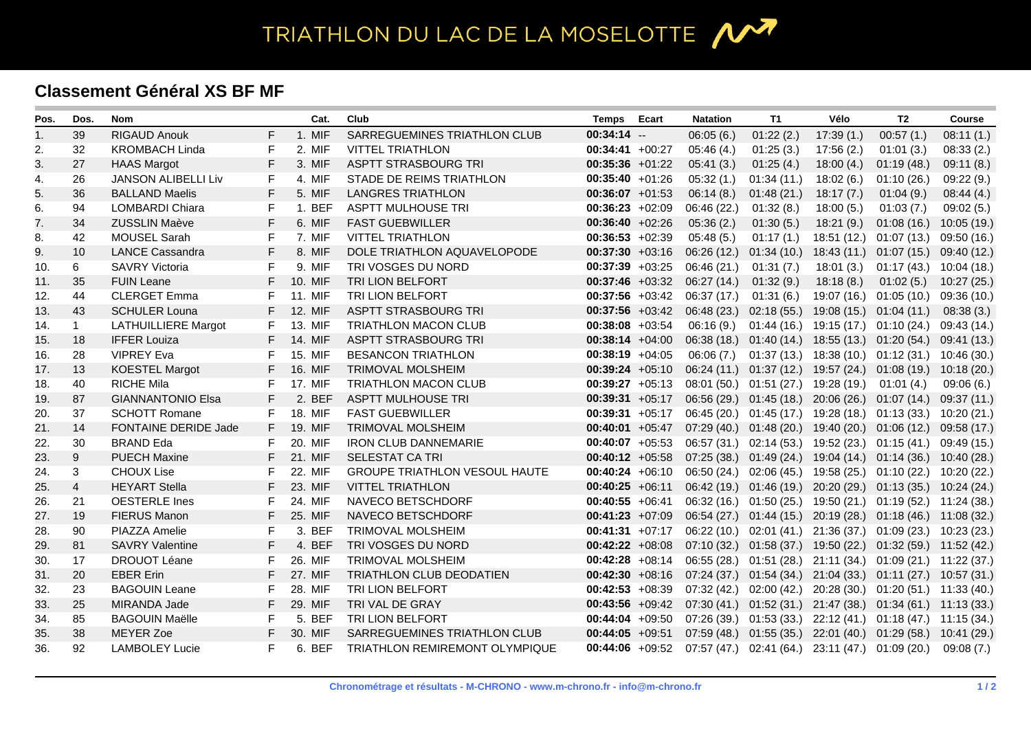## TRIATHLON DU LAC DE LA MOSELOTTE 1

## **Classement Général XS BF MF**

| Pos. | Dos.           | <b>Nom</b>                 |              | Cat.    | Club                                 | <b>Temps</b>      | Ecart | <b>Natation</b> | <b>T1</b>                                                                   | Vélo                                 | T2                                  | <b>Course</b> |
|------|----------------|----------------------------|--------------|---------|--------------------------------------|-------------------|-------|-----------------|-----------------------------------------------------------------------------|--------------------------------------|-------------------------------------|---------------|
| 1.   | 39             | <b>RIGAUD Anouk</b>        | F            | 1. MIF  | SARREGUEMINES TRIATHLON CLUB         | $00:34:14 -$      |       | 06:05(6.)       | 01:22(2.)                                                                   | 17:39(1.)                            | 00:57(1.)                           | 08:11(1.)     |
| 2.   | 32             | <b>KROMBACH Linda</b>      | F            | 2. MIF  | <b>VITTEL TRIATHLON</b>              | $00:34:41 +00:27$ |       | 05:46(4)        | 01:25(3)                                                                    | 17:56 (2.)                           | 01:01(3.)                           | 08:33(2.)     |
| 3.   | 27             | <b>HAAS Margot</b>         | F            | 3. MIF  | ASPTT STRASBOURG TRI                 | $00:35:36$ +01:22 |       | 05:41(3.)       | 01:25(4.)                                                                   | 18:00(4.)                            | 01:19(48)                           | 09:11(8.)     |
| 4.   | 26             | <b>JANSON ALIBELLI Liv</b> | F            | 4. MIF  | STADE DE REIMS TRIATHLON             | $00:35:40 +01:26$ |       | 05:32(1.)       | 01:34(11)                                                                   | 18:02(6.)                            | 01:10(26.)                          | 09:22(9.)     |
| 5.   | 36             | <b>BALLAND Maelis</b>      | F            | 5. MIF  | <b>LANGRES TRIATHLON</b>             | $00:36:07 +01:53$ |       | 06:14(8.)       | 01:48(21)                                                                   | 18:17(7)                             | 01:04(9.)                           | 08:44(4)      |
| 6.   | 94             | <b>LOMBARDI Chiara</b>     | F            | 1. BEF  | <b>ASPTT MULHOUSE TRI</b>            | $00:36:23 +02:09$ |       | 06:46 (22.)     | 01:32(8.)                                                                   | 18:00(5.)                            | 01:03(7)                            | 09:02(5.)     |
| 7.   | 34             | <b>ZUSSLIN Maève</b>       | F            | 6. MIF  | <b>FAST GUEBWILLER</b>               | $00:36:40 +02:26$ |       | 05:36(2.)       | 01:30(5.)                                                                   | 18:21 (9.)                           | 01:08(16.)                          | 10:05(19.)    |
| 8.   | 42             | <b>MOUSEL Sarah</b>        | F            | 7. MIF  | <b>VITTEL TRIATHLON</b>              | $00:36:53 +02:39$ |       | 05:48(5.)       | 01:17(1)                                                                    |                                      | 18:51 (12.) 01:07 (13.)             | 09:50 (16.)   |
| 9.   | 10             | <b>LANCE Cassandra</b>     | F            | 8. MIF  | DOLE TRIATHLON AQUAVELOPODE          | $00:37:30 +03:16$ |       | 06:26(12)       | $01:34(10.)$ 18:43 (11.) 01:07 (15.)                                        |                                      |                                     | 09:40 (12.)   |
| 10.  | 6              | <b>SAVRY Victoria</b>      | F            | 9. MIF  | TRI VOSGES DU NORD                   | $00:37:39 +03:25$ |       | 06:46(21.)      | 01:31(7.)                                                                   | 18:01 (3.)                           | 01:17 (43.)                         | 10:04 (18.)   |
| 11.  | 35             | <b>FUIN Leane</b>          | F            | 10. MIF | TRI LION BELFORT                     | $00:37:46$ +03:32 |       | 06:27(14)       | 01:32(9.)                                                                   | 18:18(8)                             | 01:02(5.)                           | 10:27 (25.)   |
| 12.  | 44             | <b>CLERGET Emma</b>        | F            | 11. MIF | TRI LION BELFORT                     | $00:37:56$ +03:42 |       | 06:37(17)       | 01:31(6.)                                                                   | 19:07 (16.)                          | 01:05(10.)                          | 09:36 (10.)   |
| 13.  | 43             | <b>SCHULER Louna</b>       | F            | 12. MIF | ASPTT STRASBOURG TRI                 | $00:37:56$ +03:42 |       |                 | 06:48 (23.) 02:18 (55.) 19:08 (15.) 01:04 (11.)                             |                                      |                                     | 08:38(3)      |
| 14.  | $\mathbf{1}$   | <b>LATHUILLIERE Margot</b> | F            | 13. MIF | <b>TRIATHLON MACON CLUB</b>          | $00:38:08$ +03:54 |       | 06:16(9)        |                                                                             | $01:44(16.)$ 19:15 (17.) 01:10 (24.) |                                     | 09:43 (14.)   |
| 15.  | 18             | <b>IFFER Louiza</b>        | F            | 14. MIF | ASPTT STRASBOURG TRI                 | $00:38:14 +04:00$ |       |                 | 06:38 (18.) 01:40 (14.) 18:55 (13.) 01:20 (54.)                             |                                      |                                     | 09:41 (13.)   |
| 16.  | 28             | <b>VIPREY Eva</b>          | F            | 15. MIF | <b>BESANCON TRIATHLON</b>            | $00:38:19 +04:05$ |       | 06:06 (7.)      |                                                                             |                                      | $01:37(13)$ $18:38(10)$ $01:12(31)$ | 10:46 (30.)   |
| 17.  | 13             | <b>KOESTEL Margot</b>      | F            | 16. MIF | <b>TRIMOVAL MOLSHEIM</b>             | $00:39:24 +05:10$ |       |                 | 06:24 (11.) 01:37 (12.) 19:57 (24.) 01:08 (19.) 10:18 (20.)                 |                                      |                                     |               |
| 18.  | 40             | <b>RICHE Mila</b>          | F            | 17. MIF | <b>TRIATHLON MACON CLUB</b>          | $00:39:27 +05:13$ |       |                 | 08:01 (50.) 01:51 (27.) 19:28 (19.) 01:01 (4.)                              |                                      |                                     | 09:06(6)      |
| 19.  | 87             | <b>GIANNANTONIO Elsa</b>   | F            | 2. BEF  | <b>ASPTT MULHOUSE TRI</b>            | $00:39:31 +05:17$ |       |                 | 06:56 (29.) 01:45 (18.) 20:06 (26.) 01:07 (14.)                             |                                      |                                     | 09:37 (11.)   |
| 20.  | 37             | <b>SCHOTT Romane</b>       | F            | 18. MIF | <b>FAST GUEBWILLER</b>               | $00:39:31 +05:17$ |       |                 | 06:45 (20.) 01:45 (17.) 19:28 (18.) 01:13 (33.) 10:20 (21.)                 |                                      |                                     |               |
| 21.  | 14             | FONTAINE DERIDE Jade       | F            | 19. MIF | <b>TRIMOVAL MOLSHEIM</b>             | $00:40:01$ +05:47 |       |                 | 07:29 (40.) 01:48 (20.) 19:40 (20.) 01:06 (12.)                             |                                      |                                     | 09:58 (17.)   |
| 22.  | 30             | <b>BRAND Eda</b>           | F            | 20. MIF | <b>IRON CLUB DANNEMARIE</b>          | $00:40:07$ +05:53 |       |                 | $06:57(31.)$ $02:14(53.)$ $19:52(23.)$ $01:15(41.)$                         |                                      |                                     | 09:49 (15.)   |
| 23.  | 9              | <b>PUECH Maxine</b>        | F            | 21. MIF | <b>SELESTAT CA TRI</b>               | $00:40:12 +05:58$ |       |                 | 07:25 (38.) 01:49 (24.) 19:04 (14.) 01:14 (36.) 10:40 (28.)                 |                                      |                                     |               |
| 24.  | 3              | <b>CHOUX Lise</b>          | F            | 22. MIF | <b>GROUPE TRIATHLON VESOUL HAUTE</b> | $00:40:24$ +06:10 |       |                 | 06:50 (24.) 02:06 (45.) 19:58 (25.) 01:10 (22.) 10:20 (22.)                 |                                      |                                     |               |
| 25.  | $\overline{4}$ | <b>HEYART Stella</b>       | F            | 23. MIF | <b>VITTEL TRIATHLON</b>              | $00:40:25$ +06:11 |       |                 | 06:42 (19.) 01:46 (19.) 20:20 (29.) 01:13 (35.) 10:24 (24.)                 |                                      |                                     |               |
| 26.  | 21             | <b>OESTERLE</b> Ines       | F            | 24. MIF | NAVECO BETSCHDORF                    | $00:40:55 +06:41$ |       |                 | 06:32 (16.) 01:50 (25.) 19:50 (21.) 01:19 (52.) 11:24 (38.)                 |                                      |                                     |               |
| 27.  | 19             | <b>FIERUS Manon</b>        | F            | 25. MIF | NAVECO BETSCHDORF                    | $00:41:23 +07:09$ |       |                 | 06:54 (27.) 01:44 (15.) 20:19 (28.) 01:18 (46.) 11:08 (32.)                 |                                      |                                     |               |
| 28.  | 90             | PIAZZA Amelie              | F            | 3. BEF  | <b>TRIMOVAL MOLSHEIM</b>             | $00:41:31 +07:17$ |       |                 | 06:22 (10.) 02:01 (41.) 21:36 (37.) 01:09 (23.) 10:23 (23.)                 |                                      |                                     |               |
| 29.  | 81             | <b>SAVRY Valentine</b>     | $\mathsf{F}$ | 4. BEF  | TRI VOSGES DU NORD                   | $00:42:22 +08:08$ |       |                 | 07:10 (32.) 01:58 (37.) 19:50 (22.) 01:32 (59.) 11:52 (42.)                 |                                      |                                     |               |
| 30.  | 17             | DROUOT Léane               | F            | 26. MIF | <b>TRIMOVAL MOLSHEIM</b>             | $00:42:28$ +08:14 |       |                 | 06:55 (28.) 01:51 (28.) 21:11 (34.) 01:09 (21.) 11:22 (37.)                 |                                      |                                     |               |
| 31.  | 20             | <b>EBER Erin</b>           | $\mathsf F$  | 27. MIF | TRIATHLON CLUB DEODATIEN             | $00:42:30 +08:16$ |       |                 | 07:24 (37.) 01:54 (34.) 21:04 (33.) 01:11 (27.) 10:57 (31.)                 |                                      |                                     |               |
| 32.  | 23             | <b>BAGOUIN Leane</b>       | F            | 28. MIF | TRI LION BELFORT                     | $00:42:53 +08:39$ |       |                 | 07:32 (42.) 02:00 (42.) 20:28 (30.) 01:20 (51.) 11:33 (40.)                 |                                      |                                     |               |
| 33.  | 25             | MIRANDA Jade               | F            | 29. MIF | TRI VAL DE GRAY                      |                   |       |                 | 00:43:56 +09:42 07:30 (41.) 01:52 (31.) 21:47 (38.) 01:34 (61.) 11:13 (33.) |                                      |                                     |               |
| 34.  | 85             | <b>BAGOUIN Maëlle</b>      | F            | 5. BEF  | TRI LION BELFORT                     | $00:44:04$ +09:50 |       |                 | 07:26 (39.) 01:53 (33.) 22:12 (41.) 01:18 (47.) 11:15 (34.)                 |                                      |                                     |               |
| 35.  | 38             | <b>MEYER Zoe</b>           | F            | 30. MIF | SARREGUEMINES TRIATHLON CLUB         | $00:44:05$ +09:51 |       |                 | 07:59 (48.) 01:55 (35.) 22:01 (40.) 01:29 (58.) 10:41 (29.)                 |                                      |                                     |               |
| 36.  | 92             | <b>LAMBOLEY Lucie</b>      | F            | 6. BEF  | TRIATHLON REMIREMONT OLYMPIQUE       | $00:44:06$ +09:52 |       |                 | 07:57 (47.) 02:41 (64.) 23:11 (47.) 01:09 (20.)                             |                                      |                                     | 09:08(7)      |